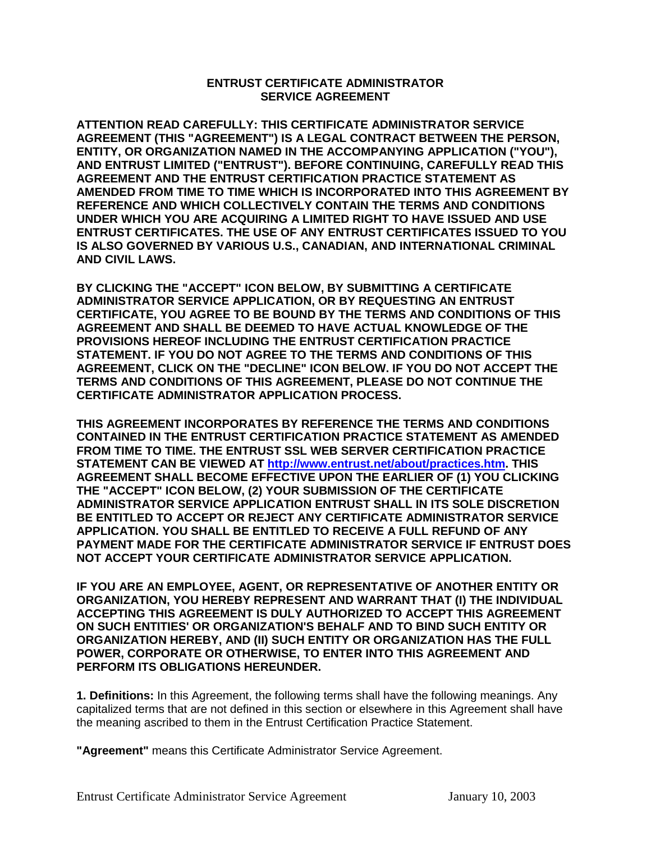## **ENTRUST CERTIFICATE ADMINISTRATOR SERVICE AGREEMENT**

**ATTENTION READ CAREFULLY: THIS CERTIFICATE ADMINISTRATOR SERVICE AGREEMENT (THIS "AGREEMENT") IS A LEGAL CONTRACT BETWEEN THE PERSON, ENTITY, OR ORGANIZATION NAMED IN THE ACCOMPANYING APPLICATION ("YOU"), AND ENTRUST LIMITED ("ENTRUST"). BEFORE CONTINUING, CAREFULLY READ THIS AGREEMENT AND THE ENTRUST CERTIFICATION PRACTICE STATEMENT AS AMENDED FROM TIME TO TIME WHICH IS INCORPORATED INTO THIS AGREEMENT BY REFERENCE AND WHICH COLLECTIVELY CONTAIN THE TERMS AND CONDITIONS UNDER WHICH YOU ARE ACQUIRING A LIMITED RIGHT TO HAVE ISSUED AND USE ENTRUST CERTIFICATES. THE USE OF ANY ENTRUST CERTIFICATES ISSUED TO YOU IS ALSO GOVERNED BY VARIOUS U.S., CANADIAN, AND INTERNATIONAL CRIMINAL AND CIVIL LAWS.** 

**BY CLICKING THE "ACCEPT" ICON BELOW, BY SUBMITTING A CERTIFICATE ADMINISTRATOR SERVICE APPLICATION, OR BY REQUESTING AN ENTRUST CERTIFICATE, YOU AGREE TO BE BOUND BY THE TERMS AND CONDITIONS OF THIS AGREEMENT AND SHALL BE DEEMED TO HAVE ACTUAL KNOWLEDGE OF THE PROVISIONS HEREOF INCLUDING THE ENTRUST CERTIFICATION PRACTICE STATEMENT. IF YOU DO NOT AGREE TO THE TERMS AND CONDITIONS OF THIS AGREEMENT, CLICK ON THE "DECLINE" ICON BELOW. IF YOU DO NOT ACCEPT THE TERMS AND CONDITIONS OF THIS AGREEMENT, PLEASE DO NOT CONTINUE THE CERTIFICATE ADMINISTRATOR APPLICATION PROCESS.** 

**THIS AGREEMENT INCORPORATES BY REFERENCE THE TERMS AND CONDITIONS CONTAINED IN THE ENTRUST CERTIFICATION PRACTICE STATEMENT AS AMENDED FROM TIME TO TIME. THE ENTRUST SSL WEB SERVER CERTIFICATION PRACTICE STATEMENT CAN BE VIEWED AT [http://www.entrust.net/about/practices.htm.](http://www.entrust.net/about/practices.htm) THIS AGREEMENT SHALL BECOME EFFECTIVE UPON THE EARLIER OF (1) YOU CLICKING THE "ACCEPT" ICON BELOW, (2) YOUR SUBMISSION OF THE CERTIFICATE ADMINISTRATOR SERVICE APPLICATION ENTRUST SHALL IN ITS SOLE DISCRETION BE ENTITLED TO ACCEPT OR REJECT ANY CERTIFICATE ADMINISTRATOR SERVICE APPLICATION. YOU SHALL BE ENTITLED TO RECEIVE A FULL REFUND OF ANY PAYMENT MADE FOR THE CERTIFICATE ADMINISTRATOR SERVICE IF ENTRUST DOES NOT ACCEPT YOUR CERTIFICATE ADMINISTRATOR SERVICE APPLICATION.** 

**IF YOU ARE AN EMPLOYEE, AGENT, OR REPRESENTATIVE OF ANOTHER ENTITY OR ORGANIZATION, YOU HEREBY REPRESENT AND WARRANT THAT (I) THE INDIVIDUAL ACCEPTING THIS AGREEMENT IS DULY AUTHORIZED TO ACCEPT THIS AGREEMENT ON SUCH ENTITIES' OR ORGANIZATION'S BEHALF AND TO BIND SUCH ENTITY OR ORGANIZATION HEREBY, AND (II) SUCH ENTITY OR ORGANIZATION HAS THE FULL POWER, CORPORATE OR OTHERWISE, TO ENTER INTO THIS AGREEMENT AND PERFORM ITS OBLIGATIONS HEREUNDER.**

**1. Definitions:** In this Agreement, the following terms shall have the following meanings. Any capitalized terms that are not defined in this section or elsewhere in this Agreement shall have the meaning ascribed to them in the Entrust Certification Practice Statement.

**"Agreement"** means this Certificate Administrator Service Agreement.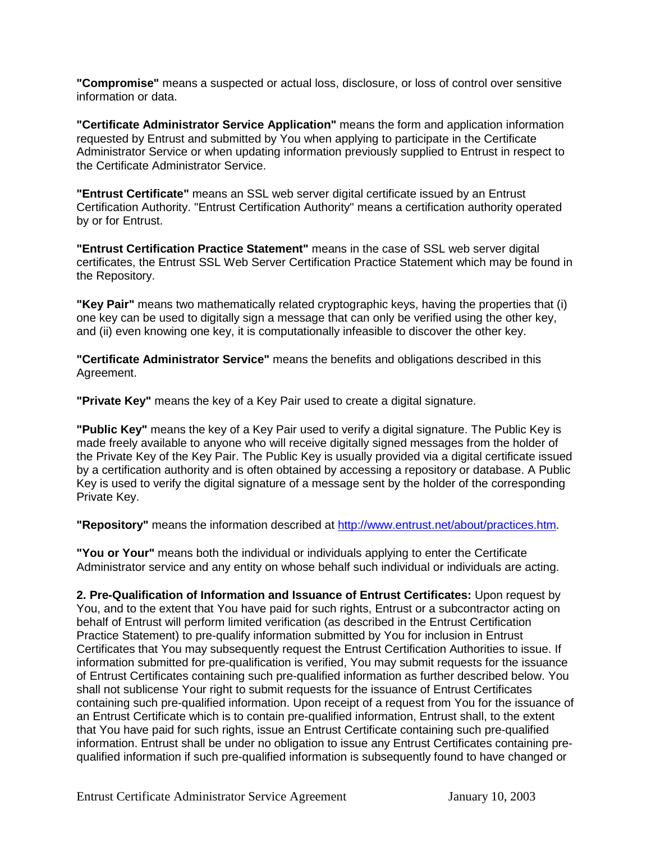**"Compromise"** means a suspected or actual loss, disclosure, or loss of control over sensitive information or data.

**"Certificate Administrator Service Application"** means the form and application information requested by Entrust and submitted by You when applying to participate in the Certificate Administrator Service or when updating information previously supplied to Entrust in respect to the Certificate Administrator Service.

**"Entrust Certificate"** means an SSL web server digital certificate issued by an Entrust Certification Authority. "Entrust Certification Authority" means a certification authority operated by or for Entrust.

**"Entrust Certification Practice Statement"** means in the case of SSL web server digital certificates, the Entrust SSL Web Server Certification Practice Statement which may be found in the Repository.

**"Key Pair"** means two mathematically related cryptographic keys, having the properties that (i) one key can be used to digitally sign a message that can only be verified using the other key, and (ii) even knowing one key, it is computationally infeasible to discover the other key.

**"Certificate Administrator Service"** means the benefits and obligations described in this Agreement.

**"Private Key"** means the key of a Key Pair used to create a digital signature.

**"Public Key"** means the key of a Key Pair used to verify a digital signature. The Public Key is made freely available to anyone who will receive digitally signed messages from the holder of the Private Key of the Key Pair. The Public Key is usually provided via a digital certificate issued by a certification authority and is often obtained by accessing a repository or database. A Public Key is used to verify the digital signature of a message sent by the holder of the corresponding Private Key.

**"Repository"** means the information described at [http://www.entrust.net/about/practices.htm.](http://www.entrust.net/about/practices.htm)

**"You or Your"** means both the individual or individuals applying to enter the Certificate Administrator service and any entity on whose behalf such individual or individuals are acting.

**2. Pre-Qualification of Information and Issuance of Entrust Certificates:** Upon request by You, and to the extent that You have paid for such rights, Entrust or a subcontractor acting on behalf of Entrust will perform limited verification (as described in the Entrust Certification Practice Statement) to pre-qualify information submitted by You for inclusion in Entrust Certificates that You may subsequently request the Entrust Certification Authorities to issue. If information submitted for pre-qualification is verified, You may submit requests for the issuance of Entrust Certificates containing such pre-qualified information as further described below. You shall not sublicense Your right to submit requests for the issuance of Entrust Certificates containing such pre-qualified information. Upon receipt of a request from You for the issuance of an Entrust Certificate which is to contain pre-qualified information, Entrust shall, to the extent that You have paid for such rights, issue an Entrust Certificate containing such pre-qualified information. Entrust shall be under no obligation to issue any Entrust Certificates containing prequalified information if such pre-qualified information is subsequently found to have changed or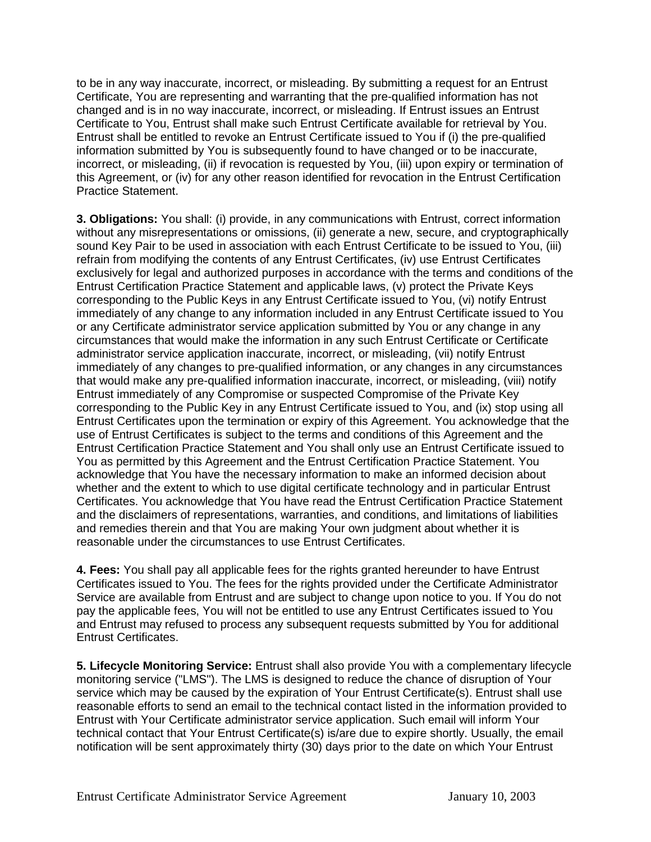to be in any way inaccurate, incorrect, or misleading. By submitting a request for an Entrust Certificate, You are representing and warranting that the pre-qualified information has not changed and is in no way inaccurate, incorrect, or misleading. If Entrust issues an Entrust Certificate to You, Entrust shall make such Entrust Certificate available for retrieval by You. Entrust shall be entitled to revoke an Entrust Certificate issued to You if (i) the pre-qualified information submitted by You is subsequently found to have changed or to be inaccurate, incorrect, or misleading, (ii) if revocation is requested by You, (iii) upon expiry or termination of this Agreement, or (iv) for any other reason identified for revocation in the Entrust Certification Practice Statement.

**3. Obligations:** You shall: (i) provide, in any communications with Entrust, correct information without any misrepresentations or omissions, (ii) generate a new, secure, and cryptographically sound Key Pair to be used in association with each Entrust Certificate to be issued to You, (iii) refrain from modifying the contents of any Entrust Certificates, (iv) use Entrust Certificates exclusively for legal and authorized purposes in accordance with the terms and conditions of the Entrust Certification Practice Statement and applicable laws, (v) protect the Private Keys corresponding to the Public Keys in any Entrust Certificate issued to You, (vi) notify Entrust immediately of any change to any information included in any Entrust Certificate issued to You or any Certificate administrator service application submitted by You or any change in any circumstances that would make the information in any such Entrust Certificate or Certificate administrator service application inaccurate, incorrect, or misleading, (vii) notify Entrust immediately of any changes to pre-qualified information, or any changes in any circumstances that would make any pre-qualified information inaccurate, incorrect, or misleading, (viii) notify Entrust immediately of any Compromise or suspected Compromise of the Private Key corresponding to the Public Key in any Entrust Certificate issued to You, and (ix) stop using all Entrust Certificates upon the termination or expiry of this Agreement. You acknowledge that the use of Entrust Certificates is subject to the terms and conditions of this Agreement and the Entrust Certification Practice Statement and You shall only use an Entrust Certificate issued to You as permitted by this Agreement and the Entrust Certification Practice Statement. You acknowledge that You have the necessary information to make an informed decision about whether and the extent to which to use digital certificate technology and in particular Entrust Certificates. You acknowledge that You have read the Entrust Certification Practice Statement and the disclaimers of representations, warranties, and conditions, and limitations of liabilities and remedies therein and that You are making Your own judgment about whether it is reasonable under the circumstances to use Entrust Certificates.

**4. Fees:** You shall pay all applicable fees for the rights granted hereunder to have Entrust Certificates issued to You. The fees for the rights provided under the Certificate Administrator Service are available from Entrust and are subject to change upon notice to you. If You do not pay the applicable fees, You will not be entitled to use any Entrust Certificates issued to You and Entrust may refused to process any subsequent requests submitted by You for additional Entrust Certificates.

**5. Lifecycle Monitoring Service:** Entrust shall also provide You with a complementary lifecycle monitoring service ("LMS"). The LMS is designed to reduce the chance of disruption of Your service which may be caused by the expiration of Your Entrust Certificate(s). Entrust shall use reasonable efforts to send an email to the technical contact listed in the information provided to Entrust with Your Certificate administrator service application. Such email will inform Your technical contact that Your Entrust Certificate(s) is/are due to expire shortly. Usually, the email notification will be sent approximately thirty (30) days prior to the date on which Your Entrust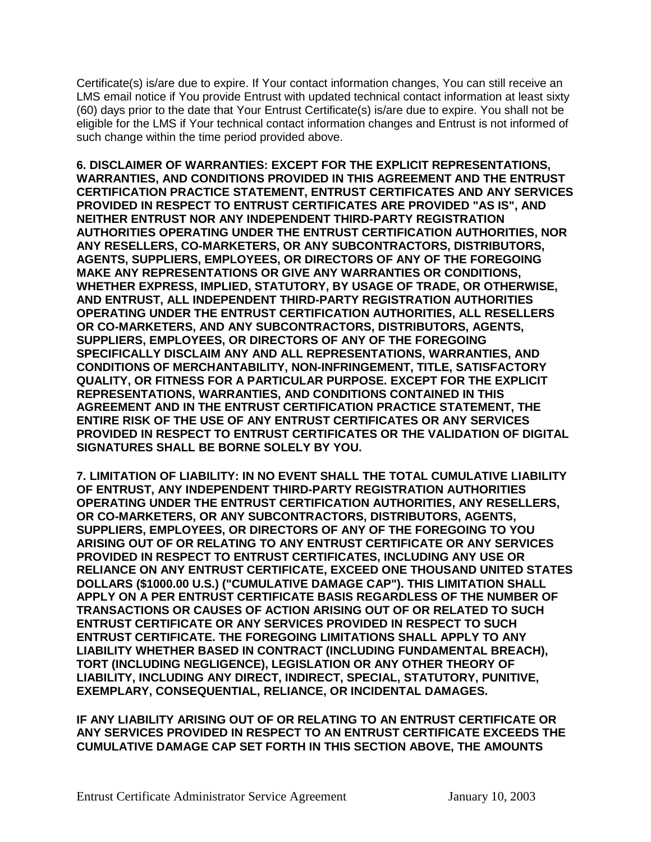Certificate(s) is/are due to expire. If Your contact information changes, You can still receive an LMS email notice if You provide Entrust with updated technical contact information at least sixty (60) days prior to the date that Your Entrust Certificate(s) is/are due to expire. You shall not be eligible for the LMS if Your technical contact information changes and Entrust is not informed of such change within the time period provided above.

**6. DISCLAIMER OF WARRANTIES: EXCEPT FOR THE EXPLICIT REPRESENTATIONS, WARRANTIES, AND CONDITIONS PROVIDED IN THIS AGREEMENT AND THE ENTRUST CERTIFICATION PRACTICE STATEMENT, ENTRUST CERTIFICATES AND ANY SERVICES PROVIDED IN RESPECT TO ENTRUST CERTIFICATES ARE PROVIDED "AS IS", AND NEITHER ENTRUST NOR ANY INDEPENDENT THIRD-PARTY REGISTRATION AUTHORITIES OPERATING UNDER THE ENTRUST CERTIFICATION AUTHORITIES, NOR ANY RESELLERS, CO-MARKETERS, OR ANY SUBCONTRACTORS, DISTRIBUTORS, AGENTS, SUPPLIERS, EMPLOYEES, OR DIRECTORS OF ANY OF THE FOREGOING MAKE ANY REPRESENTATIONS OR GIVE ANY WARRANTIES OR CONDITIONS, WHETHER EXPRESS, IMPLIED, STATUTORY, BY USAGE OF TRADE, OR OTHERWISE, AND ENTRUST, ALL INDEPENDENT THIRD-PARTY REGISTRATION AUTHORITIES OPERATING UNDER THE ENTRUST CERTIFICATION AUTHORITIES, ALL RESELLERS OR CO-MARKETERS, AND ANY SUBCONTRACTORS, DISTRIBUTORS, AGENTS, SUPPLIERS, EMPLOYEES, OR DIRECTORS OF ANY OF THE FOREGOING SPECIFICALLY DISCLAIM ANY AND ALL REPRESENTATIONS, WARRANTIES, AND CONDITIONS OF MERCHANTABILITY, NON-INFRINGEMENT, TITLE, SATISFACTORY QUALITY, OR FITNESS FOR A PARTICULAR PURPOSE. EXCEPT FOR THE EXPLICIT REPRESENTATIONS, WARRANTIES, AND CONDITIONS CONTAINED IN THIS AGREEMENT AND IN THE ENTRUST CERTIFICATION PRACTICE STATEMENT, THE ENTIRE RISK OF THE USE OF ANY ENTRUST CERTIFICATES OR ANY SERVICES PROVIDED IN RESPECT TO ENTRUST CERTIFICATES OR THE VALIDATION OF DIGITAL SIGNATURES SHALL BE BORNE SOLELY BY YOU.** 

**7. LIMITATION OF LIABILITY: IN NO EVENT SHALL THE TOTAL CUMULATIVE LIABILITY OF ENTRUST, ANY INDEPENDENT THIRD-PARTY REGISTRATION AUTHORITIES OPERATING UNDER THE ENTRUST CERTIFICATION AUTHORITIES, ANY RESELLERS, OR CO-MARKETERS, OR ANY SUBCONTRACTORS, DISTRIBUTORS, AGENTS, SUPPLIERS, EMPLOYEES, OR DIRECTORS OF ANY OF THE FOREGOING TO YOU ARISING OUT OF OR RELATING TO ANY ENTRUST CERTIFICATE OR ANY SERVICES PROVIDED IN RESPECT TO ENTRUST CERTIFICATES, INCLUDING ANY USE OR RELIANCE ON ANY ENTRUST CERTIFICATE, EXCEED ONE THOUSAND UNITED STATES DOLLARS (\$1000.00 U.S.) ("CUMULATIVE DAMAGE CAP"). THIS LIMITATION SHALL APPLY ON A PER ENTRUST CERTIFICATE BASIS REGARDLESS OF THE NUMBER OF TRANSACTIONS OR CAUSES OF ACTION ARISING OUT OF OR RELATED TO SUCH ENTRUST CERTIFICATE OR ANY SERVICES PROVIDED IN RESPECT TO SUCH ENTRUST CERTIFICATE. THE FOREGOING LIMITATIONS SHALL APPLY TO ANY LIABILITY WHETHER BASED IN CONTRACT (INCLUDING FUNDAMENTAL BREACH), TORT (INCLUDING NEGLIGENCE), LEGISLATION OR ANY OTHER THEORY OF LIABILITY, INCLUDING ANY DIRECT, INDIRECT, SPECIAL, STATUTORY, PUNITIVE, EXEMPLARY, CONSEQUENTIAL, RELIANCE, OR INCIDENTAL DAMAGES.** 

**IF ANY LIABILITY ARISING OUT OF OR RELATING TO AN ENTRUST CERTIFICATE OR ANY SERVICES PROVIDED IN RESPECT TO AN ENTRUST CERTIFICATE EXCEEDS THE CUMULATIVE DAMAGE CAP SET FORTH IN THIS SECTION ABOVE, THE AMOUNTS**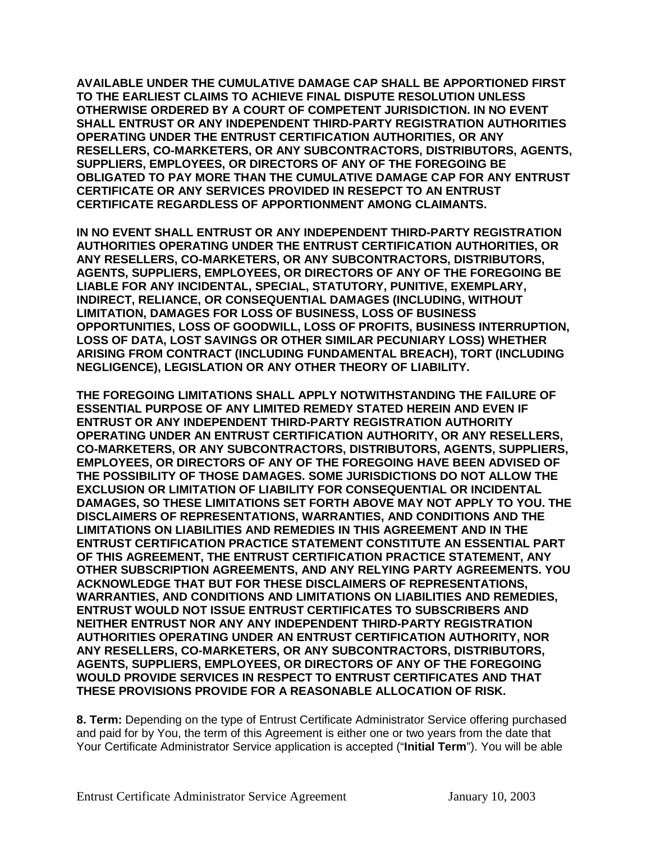**AVAILABLE UNDER THE CUMULATIVE DAMAGE CAP SHALL BE APPORTIONED FIRST TO THE EARLIEST CLAIMS TO ACHIEVE FINAL DISPUTE RESOLUTION UNLESS OTHERWISE ORDERED BY A COURT OF COMPETENT JURISDICTION. IN NO EVENT SHALL ENTRUST OR ANY INDEPENDENT THIRD-PARTY REGISTRATION AUTHORITIES OPERATING UNDER THE ENTRUST CERTIFICATION AUTHORITIES, OR ANY RESELLERS, CO-MARKETERS, OR ANY SUBCONTRACTORS, DISTRIBUTORS, AGENTS, SUPPLIERS, EMPLOYEES, OR DIRECTORS OF ANY OF THE FOREGOING BE OBLIGATED TO PAY MORE THAN THE CUMULATIVE DAMAGE CAP FOR ANY ENTRUST CERTIFICATE OR ANY SERVICES PROVIDED IN RESEPCT TO AN ENTRUST CERTIFICATE REGARDLESS OF APPORTIONMENT AMONG CLAIMANTS.** 

**IN NO EVENT SHALL ENTRUST OR ANY INDEPENDENT THIRD-PARTY REGISTRATION AUTHORITIES OPERATING UNDER THE ENTRUST CERTIFICATION AUTHORITIES, OR ANY RESELLERS, CO-MARKETERS, OR ANY SUBCONTRACTORS, DISTRIBUTORS, AGENTS, SUPPLIERS, EMPLOYEES, OR DIRECTORS OF ANY OF THE FOREGOING BE LIABLE FOR ANY INCIDENTAL, SPECIAL, STATUTORY, PUNITIVE, EXEMPLARY, INDIRECT, RELIANCE, OR CONSEQUENTIAL DAMAGES (INCLUDING, WITHOUT LIMITATION, DAMAGES FOR LOSS OF BUSINESS, LOSS OF BUSINESS OPPORTUNITIES, LOSS OF GOODWILL, LOSS OF PROFITS, BUSINESS INTERRUPTION, LOSS OF DATA, LOST SAVINGS OR OTHER SIMILAR PECUNIARY LOSS) WHETHER ARISING FROM CONTRACT (INCLUDING FUNDAMENTAL BREACH), TORT (INCLUDING NEGLIGENCE), LEGISLATION OR ANY OTHER THEORY OF LIABILITY.** 

**THE FOREGOING LIMITATIONS SHALL APPLY NOTWITHSTANDING THE FAILURE OF ESSENTIAL PURPOSE OF ANY LIMITED REMEDY STATED HEREIN AND EVEN IF ENTRUST OR ANY INDEPENDENT THIRD-PARTY REGISTRATION AUTHORITY OPERATING UNDER AN ENTRUST CERTIFICATION AUTHORITY, OR ANY RESELLERS, CO-MARKETERS, OR ANY SUBCONTRACTORS, DISTRIBUTORS, AGENTS, SUPPLIERS, EMPLOYEES, OR DIRECTORS OF ANY OF THE FOREGOING HAVE BEEN ADVISED OF THE POSSIBILITY OF THOSE DAMAGES. SOME JURISDICTIONS DO NOT ALLOW THE EXCLUSION OR LIMITATION OF LIABILITY FOR CONSEQUENTIAL OR INCIDENTAL DAMAGES, SO THESE LIMITATIONS SET FORTH ABOVE MAY NOT APPLY TO YOU. THE DISCLAIMERS OF REPRESENTATIONS, WARRANTIES, AND CONDITIONS AND THE LIMITATIONS ON LIABILITIES AND REMEDIES IN THIS AGREEMENT AND IN THE ENTRUST CERTIFICATION PRACTICE STATEMENT CONSTITUTE AN ESSENTIAL PART OF THIS AGREEMENT, THE ENTRUST CERTIFICATION PRACTICE STATEMENT, ANY OTHER SUBSCRIPTION AGREEMENTS, AND ANY RELYING PARTY AGREEMENTS. YOU ACKNOWLEDGE THAT BUT FOR THESE DISCLAIMERS OF REPRESENTATIONS, WARRANTIES, AND CONDITIONS AND LIMITATIONS ON LIABILITIES AND REMEDIES, ENTRUST WOULD NOT ISSUE ENTRUST CERTIFICATES TO SUBSCRIBERS AND NEITHER ENTRUST NOR ANY ANY INDEPENDENT THIRD-PARTY REGISTRATION AUTHORITIES OPERATING UNDER AN ENTRUST CERTIFICATION AUTHORITY, NOR ANY RESELLERS, CO-MARKETERS, OR ANY SUBCONTRACTORS, DISTRIBUTORS, AGENTS, SUPPLIERS, EMPLOYEES, OR DIRECTORS OF ANY OF THE FOREGOING WOULD PROVIDE SERVICES IN RESPECT TO ENTRUST CERTIFICATES AND THAT THESE PROVISIONS PROVIDE FOR A REASONABLE ALLOCATION OF RISK.**

**8. Term:** Depending on the type of Entrust Certificate Administrator Service offering purchased and paid for by You, the term of this Agreement is either one or two years from the date that Your Certificate Administrator Service application is accepted ("**Initial Term**"). You will be able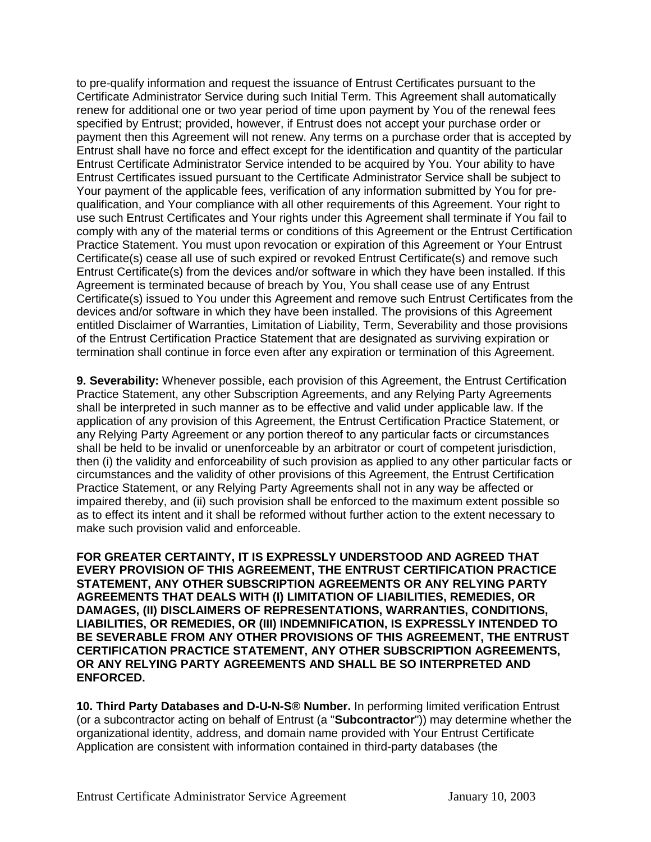to pre-qualify information and request the issuance of Entrust Certificates pursuant to the Certificate Administrator Service during such Initial Term. This Agreement shall automatically renew for additional one or two year period of time upon payment by You of the renewal fees specified by Entrust; provided, however, if Entrust does not accept your purchase order or payment then this Agreement will not renew. Any terms on a purchase order that is accepted by Entrust shall have no force and effect except for the identification and quantity of the particular Entrust Certificate Administrator Service intended to be acquired by You. Your ability to have Entrust Certificates issued pursuant to the Certificate Administrator Service shall be subject to Your payment of the applicable fees, verification of any information submitted by You for prequalification, and Your compliance with all other requirements of this Agreement. Your right to use such Entrust Certificates and Your rights under this Agreement shall terminate if You fail to comply with any of the material terms or conditions of this Agreement or the Entrust Certification Practice Statement. You must upon revocation or expiration of this Agreement or Your Entrust Certificate(s) cease all use of such expired or revoked Entrust Certificate(s) and remove such Entrust Certificate(s) from the devices and/or software in which they have been installed. If this Agreement is terminated because of breach by You, You shall cease use of any Entrust Certificate(s) issued to You under this Agreement and remove such Entrust Certificates from the devices and/or software in which they have been installed. The provisions of this Agreement entitled Disclaimer of Warranties, Limitation of Liability, Term, Severability and those provisions of the Entrust Certification Practice Statement that are designated as surviving expiration or termination shall continue in force even after any expiration or termination of this Agreement.

**9. Severability:** Whenever possible, each provision of this Agreement, the Entrust Certification Practice Statement, any other Subscription Agreements, and any Relying Party Agreements shall be interpreted in such manner as to be effective and valid under applicable law. If the application of any provision of this Agreement, the Entrust Certification Practice Statement, or any Relying Party Agreement or any portion thereof to any particular facts or circumstances shall be held to be invalid or unenforceable by an arbitrator or court of competent jurisdiction, then (i) the validity and enforceability of such provision as applied to any other particular facts or circumstances and the validity of other provisions of this Agreement, the Entrust Certification Practice Statement, or any Relying Party Agreements shall not in any way be affected or impaired thereby, and (ii) such provision shall be enforced to the maximum extent possible so as to effect its intent and it shall be reformed without further action to the extent necessary to make such provision valid and enforceable.

**FOR GREATER CERTAINTY, IT IS EXPRESSLY UNDERSTOOD AND AGREED THAT EVERY PROVISION OF THIS AGREEMENT, THE ENTRUST CERTIFICATION PRACTICE STATEMENT, ANY OTHER SUBSCRIPTION AGREEMENTS OR ANY RELYING PARTY AGREEMENTS THAT DEALS WITH (I) LIMITATION OF LIABILITIES, REMEDIES, OR DAMAGES, (II) DISCLAIMERS OF REPRESENTATIONS, WARRANTIES, CONDITIONS, LIABILITIES, OR REMEDIES, OR (III) INDEMNIFICATION, IS EXPRESSLY INTENDED TO BE SEVERABLE FROM ANY OTHER PROVISIONS OF THIS AGREEMENT, THE ENTRUST CERTIFICATION PRACTICE STATEMENT, ANY OTHER SUBSCRIPTION AGREEMENTS, OR ANY RELYING PARTY AGREEMENTS AND SHALL BE SO INTERPRETED AND ENFORCED.**

**10. Third Party Databases and D-U-N-S® Number.** In performing limited verification Entrust (or a subcontractor acting on behalf of Entrust (a "**Subcontractor**")) may determine whether the organizational identity, address, and domain name provided with Your Entrust Certificate Application are consistent with information contained in third-party databases (the